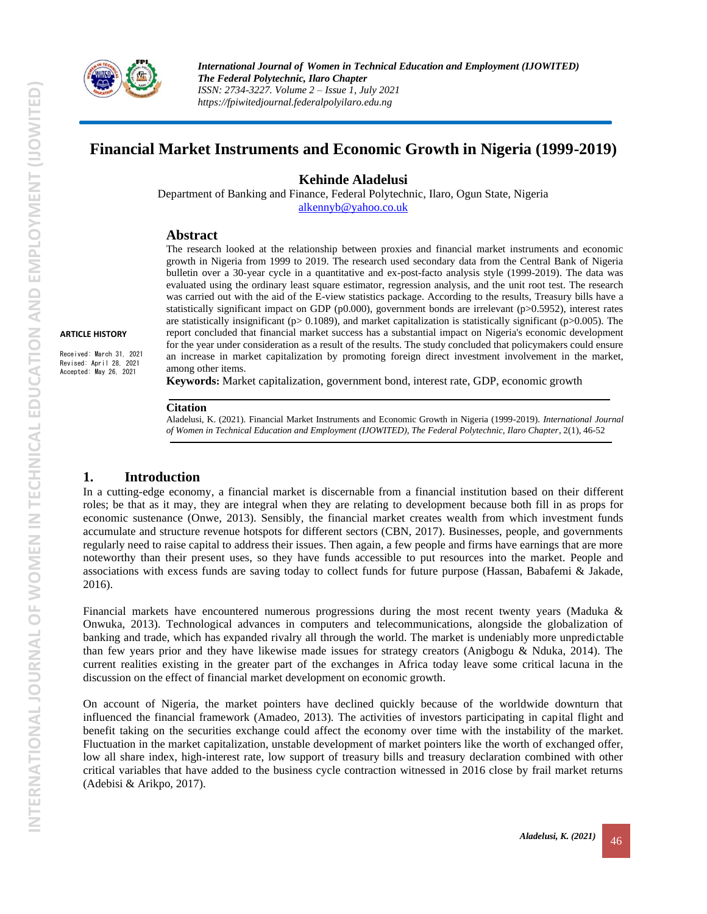

# **Financial Market Instruments and Economic Growth in Nigeria (1999-2019)**

### **Kehinde Aladelusi**

Department of Banking and Finance, Federal Polytechnic, Ilaro, Ogun State, Nigeria [alkennyb@yahoo.co.uk](mailto:alkennyb@yahoo.co.uk)

### **Abstract**

The research looked at the relationship between proxies and financial market instruments and economic growth in Nigeria from 1999 to 2019. The research used secondary data from the Central Bank of Nigeria bulletin over a 30-year cycle in a quantitative and ex-post-facto analysis style (1999-2019). The data was evaluated using the ordinary least square estimator, regression analysis, and the unit root test. The research was carried out with the aid of the E-view statistics package. According to the results, Treasury bills have a statistically significant impact on GDP (p0.000), government bonds are irrelevant (p>0.5952), interest rates are statistically insignificant ( $p$  > 0.1089), and market capitalization is statistically significant ( $p$  > 0.005). The report concluded that financial market success has a substantial impact on Nigeria's economic development for the year under consideration as a result of the results. The study concluded that policymakers could ensure an increase in market capitalization by promoting foreign direct investment involvement in the market, among other items.

**Keywords:** Market capitalization, government bond, interest rate, GDP, economic growth

#### **Citation**

Aladelusi, K. (2021). Financial Market Instruments and Economic Growth in Nigeria (1999-2019). *International Journal of Women in Technical Education and Employment (IJOWITED), The Federal Polytechnic, Ilaro Chapter*, 2(1), 46-52

### **1. Introduction**

**ARTICLE HISTORY** Received: March 31, 2021 Revised: April 28, 2021 Accepted: May 26, 2021

> In a cutting-edge economy, a financial market is discernable from a financial institution based on their different roles; be that as it may, they are integral when they are relating to development because both fill in as props for economic sustenance (Onwe, 2013). Sensibly, the financial market creates wealth from which investment funds accumulate and structure revenue hotspots for different sectors (CBN, 2017). Businesses, people, and governments regularly need to raise capital to address their issues. Then again, a few people and firms have earnings that are more noteworthy than their present uses, so they have funds accessible to put resources into the market. People and associations with excess funds are saving today to collect funds for future purpose (Hassan, Babafemi & Jakade, 2016).

> Financial markets have encountered numerous progressions during the most recent twenty years (Maduka & Onwuka, 2013). Technological advances in computers and telecommunications, alongside the globalization of banking and trade, which has expanded rivalry all through the world. The market is undeniably more unpredictable than few years prior and they have likewise made issues for strategy creators (Anigbogu & Nduka, 2014). The current realities existing in the greater part of the exchanges in Africa today leave some critical lacuna in the discussion on the effect of financial market development on economic growth.

> On account of Nigeria, the market pointers have declined quickly because of the worldwide downturn that influenced the financial framework (Amadeo, 2013). The activities of investors participating in capital flight and benefit taking on the securities exchange could affect the economy over time with the instability of the market. Fluctuation in the market capitalization, unstable development of market pointers like the worth of exchanged offer, low all share index, high-interest rate, low support of treasury bills and treasury declaration combined with other critical variables that have added to the business cycle contraction witnessed in 2016 close by frail market returns (Adebisi & Arikpo, 2017).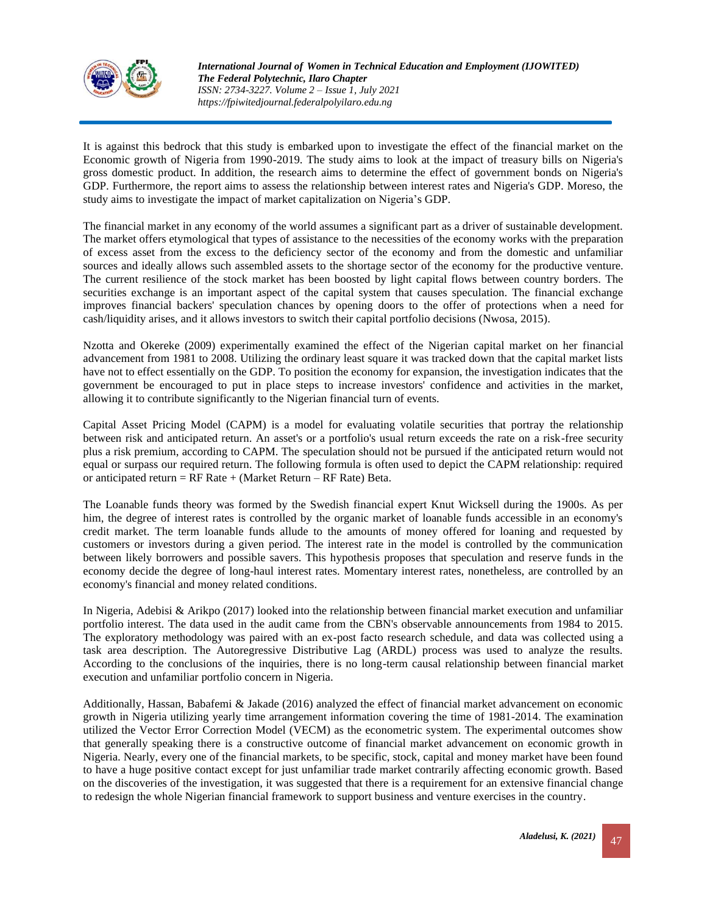

It is against this bedrock that this study is embarked upon to investigate the effect of the financial market on the Economic growth of Nigeria from 1990-2019. The study aims to look at the impact of treasury bills on Nigeria's gross domestic product. In addition, the research aims to determine the effect of government bonds on Nigeria's GDP. Furthermore, the report aims to assess the relationship between interest rates and Nigeria's GDP. Moreso, the study aims to investigate the impact of market capitalization on Nigeria's GDP.

The financial market in any economy of the world assumes a significant part as a driver of sustainable development. The market offers etymological that types of assistance to the necessities of the economy works with the preparation of excess asset from the excess to the deficiency sector of the economy and from the domestic and unfamiliar sources and ideally allows such assembled assets to the shortage sector of the economy for the productive venture. The current resilience of the stock market has been boosted by light capital flows between country borders. The securities exchange is an important aspect of the capital system that causes speculation. The financial exchange improves financial backers' speculation chances by opening doors to the offer of protections when a need for cash/liquidity arises, and it allows investors to switch their capital portfolio decisions (Nwosa, 2015).

Nzotta and Okereke (2009) experimentally examined the effect of the Nigerian capital market on her financial advancement from 1981 to 2008. Utilizing the ordinary least square it was tracked down that the capital market lists have not to effect essentially on the GDP. To position the economy for expansion, the investigation indicates that the government be encouraged to put in place steps to increase investors' confidence and activities in the market, allowing it to contribute significantly to the Nigerian financial turn of events.

[Capital Asset Pricing Model](http://www.investopedia.com/terms/c/capm.asp) (CAPM) is a model for evaluating volatile securities that portray the relationship between risk and anticipated return. An asset's or a portfolio's usual return exceeds the rate on a risk-free security plus a risk premium, according to CAPM. The speculation should not be pursued if the anticipated return would not equal or surpass our required return. The following formula is often used to depict the CAPM relationship: required or anticipated return =  $RF$  Rate + (Market Return –  $RF$  Rate) Beta.

The Loanable funds theory was formed by the Swedish financial expert Knut Wicksell during the 1900s. As per him, the degree of interest rates is controlled by the organic market of loanable funds accessible in an economy's credit market. The term loanable funds allude to the amounts of money offered for loaning and requested by customers or investors during a given period. The interest rate in the model is controlled by the communication between likely borrowers and possible savers. This hypothesis proposes that speculation and reserve funds in the economy decide the degree of long-haul interest rates. Momentary interest rates, nonetheless, are controlled by an economy's financial and money related conditions.

In Nigeria, Adebisi & Arikpo (2017) looked into the relationship between financial market execution and unfamiliar portfolio interest. The data used in the audit came from the CBN's observable announcements from 1984 to 2015. The exploratory methodology was paired with an ex-post facto research schedule, and data was collected using a task area description. The Autoregressive Distributive Lag (ARDL) process was used to analyze the results. According to the conclusions of the inquiries, there is no long-term causal relationship between financial market execution and unfamiliar portfolio concern in Nigeria.

Additionally, Hassan, Babafemi & Jakade (2016) analyzed the effect of financial market advancement on economic growth in Nigeria utilizing yearly time arrangement information covering the time of 1981-2014. The examination utilized the Vector Error Correction Model (VECM) as the econometric system. The experimental outcomes show that generally speaking there is a constructive outcome of financial market advancement on economic growth in Nigeria. Nearly, every one of the financial markets, to be specific, stock, capital and money market have been found to have a huge positive contact except for just unfamiliar trade market contrarily affecting economic growth. Based on the discoveries of the investigation, it was suggested that there is a requirement for an extensive financial change to redesign the whole Nigerian financial framework to support business and venture exercises in the country.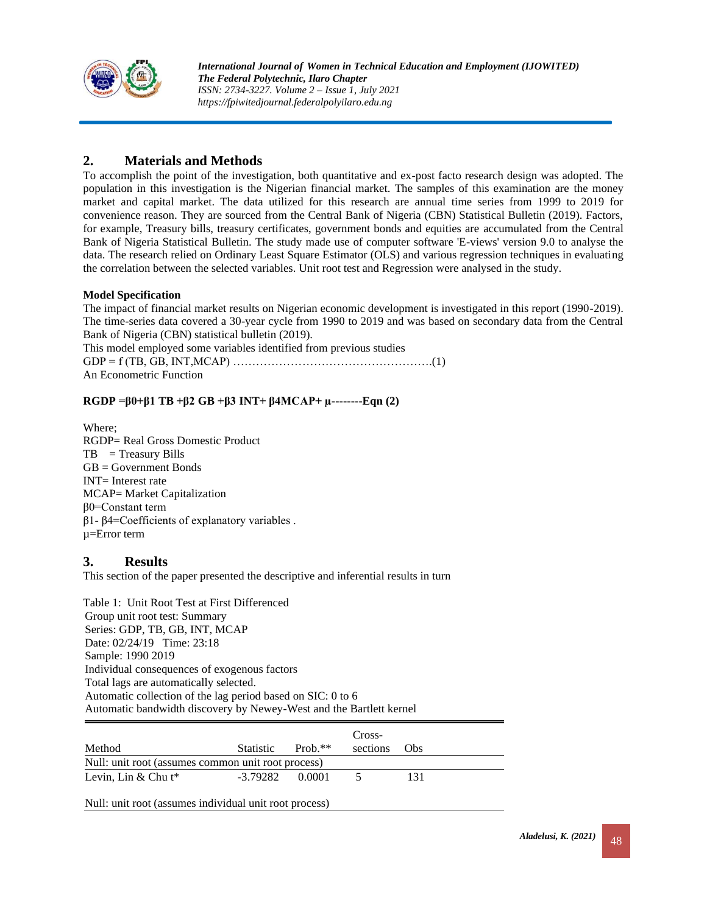

## **2. Materials and Methods**

To accomplish the point of the investigation, both quantitative and ex-post facto research design was adopted. The population in this investigation is the Nigerian financial market. The samples of this examination are the money market and capital market. The data utilized for this research are annual time series from 1999 to 2019 for convenience reason. They are sourced from the Central Bank of Nigeria (CBN) Statistical Bulletin (2019). Factors, for example, Treasury bills, treasury certificates, government bonds and equities are accumulated from the Central Bank of Nigeria Statistical Bulletin. The study made use of computer software 'E-views' version 9.0 to analyse the data. The research relied on Ordinary Least Square Estimator (OLS) and various regression techniques in evaluating the correlation between the selected variables. Unit root test and Regression were analysed in the study.

### **Model Specification**

The impact of financial market results on Nigerian economic development is investigated in this report (1990-2019). The time-series data covered a 30-year cycle from 1990 to 2019 and was based on secondary data from the Central Bank of Nigeria (CBN) statistical bulletin (2019).

This model employed some variables identified from previous studies GDP = f (TB, GB, INT,MCAP) …………………………………………….(1) An Econometric Function

### **RGDP =β0+β1 TB +β2 GB +β3 INT+ β4MCAP+ µ--------Eqn (2)**

Where; RGDP= Real Gross Domestic Product  $TB = Treasury$  Bills GB = Government Bonds INT= Interest rate MCAP= Market Capitalization β0=Constant term β1- β4=Coefficients of explanatory variables . µ=Error term

### **3. Results**

This section of the paper presented the descriptive and inferential results in turn

Table 1: Unit Root Test at First Differenced Group unit root test: Summary Series: GDP, TB, GB, INT, MCAP Date: 02/24/19 Time: 23:18 Sample: 1990 2019 Individual consequences of exogenous factors Total lags are automatically selected. Automatic collection of the lag period based on SIC: 0 to 6 Automatic bandwidth discovery by Newey-West and the Bartlett kernel

| Method                                             | <b>Statistic</b>         | $Prob.**$ | Cross-<br>sections | Obs |  |  |  |  |
|----------------------------------------------------|--------------------------|-----------|--------------------|-----|--|--|--|--|
| Null: unit root (assumes common unit root process) |                          |           |                    |     |  |  |  |  |
| Levin, Lin $\&$ Chu t <sup>*</sup>                 | $-3.79282 \qquad 0.0001$ |           |                    | 131 |  |  |  |  |

Null: unit root (assumes individual unit root process)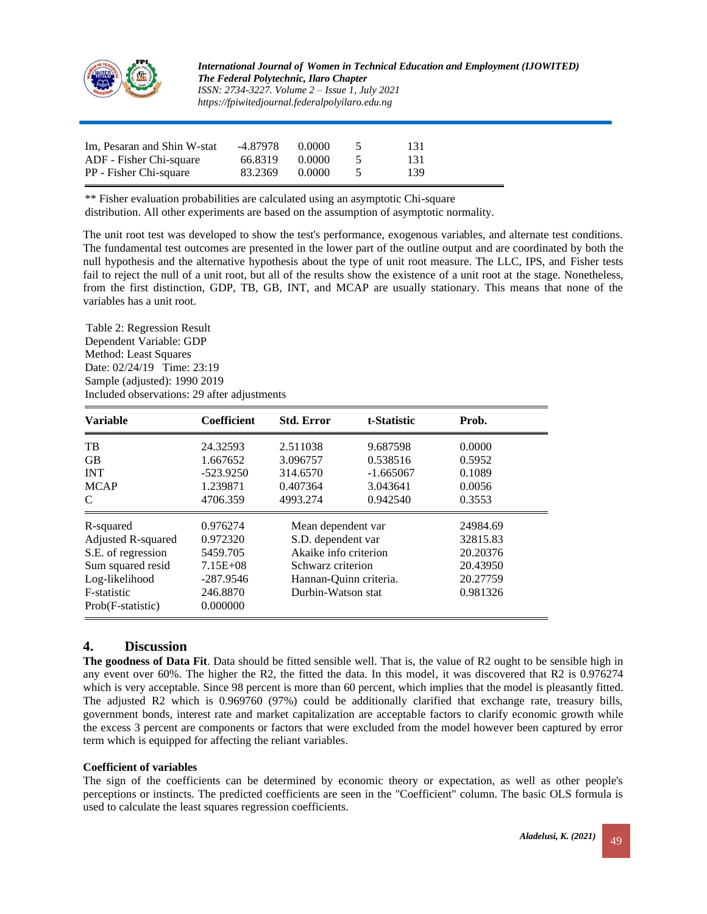

*International Journal of Women in Technical Education and Employment (IJOWITED) The Federal Polytechnic, Ilaro Chapter ISSN: 2734-3227. Volume 2 – Issue 1, July 2021 https://fpiwitedjournal.federalpolyilaro.edu.ng*

| Im, Pesaran and Shin W-stat | $-4.87978$ 0.0000 |        | -131 |  |
|-----------------------------|-------------------|--------|------|--|
| ADF - Fisher Chi-square     | 66.8319           | 0.0000 | -131 |  |
| PP - Fisher Chi-square      | 83.2369           | 0.0000 | 139  |  |

\*\* Fisher evaluation probabilities are calculated using an asymptotic Chi-square distribution. All other experiments are based on the assumption of asymptotic normality.

The unit root test was developed to show the test's performance, exogenous variables, and alternate test conditions. The fundamental test outcomes are presented in the lower part of the outline output and are coordinated by both the null hypothesis and the alternative hypothesis about the type of unit root measure. The LLC, IPS, and Fisher tests fail to reject the null of a unit root, but all of the results show the existence of a unit root at the stage. Nonetheless, from the first distinction, GDP, TB, GB, INT, and MCAP are usually stationary. This means that none of the variables has a unit root.

Table 2: Regression Result Dependent Variable: GDP Method: Least Squares Date: 02/24/19 Time: 23:19 Sample (adjusted): 1990 2019 Included observations: 29 after adjustments

| <b>Variable</b>    | Coefficient  | <b>Std. Error</b>      | t-Statistic | Prob.    |
|--------------------|--------------|------------------------|-------------|----------|
| <b>TB</b>          | 24.32593     | 2.511038               | 9.687598    | 0.0000   |
| <b>GB</b>          | 1.667652     | 3.096757               | 0.538516    | 0.5952   |
| <b>INT</b>         | $-523.9250$  | 314.6570               | $-1.665067$ | 0.1089   |
| <b>MCAP</b>        | 1.239871     | 0.407364               | 3.043641    | 0.0056   |
| C                  | 4706.359     | 4993.274               | 0.942540    | 0.3553   |
| R-squared          | 0.976274     | Mean dependent var     |             | 24984.69 |
| Adjusted R-squared | 0.972320     | S.D. dependent var     |             | 32815.83 |
| S.E. of regression | 5459.705     | Akaike info criterion  |             | 20.20376 |
| Sum squared resid  | $7.15E + 08$ | Schwarz criterion      |             | 20.43950 |
| Log-likelihood     | $-287.9546$  | Hannan-Quinn criteria. |             | 20.27759 |
| F-statistic        | 246.8870     | Durbin-Watson stat     |             | 0.981326 |
| Prob(F-statistic)  | 0.000000     |                        |             |          |

### **4. Discussion**

**The goodness of Data Fit**. Data should be fitted sensible well. That is, the value of R2 ought to be sensible high in any event over 60%. The higher the R2, the fitted the data. In this model, it was discovered that R2 is 0.976274 which is very acceptable. Since 98 percent is more than 60 percent, which implies that the model is pleasantly fitted. The adjusted R2 which is 0.969760 (97%) could be additionally clarified that exchange rate, treasury bills, government bonds, interest rate and market capitalization are acceptable factors to clarify economic growth while the excess 3 percent are components or factors that were excluded from the model however been captured by error term which is equipped for affecting the reliant variables.

#### **Coefficient of variables**

The sign of the coefficients can be determined by economic theory or expectation, as well as other people's perceptions or instincts. The predicted coefficients are seen in the "Coefficient" column. The basic OLS formula is used to calculate the least squares regression coefficients.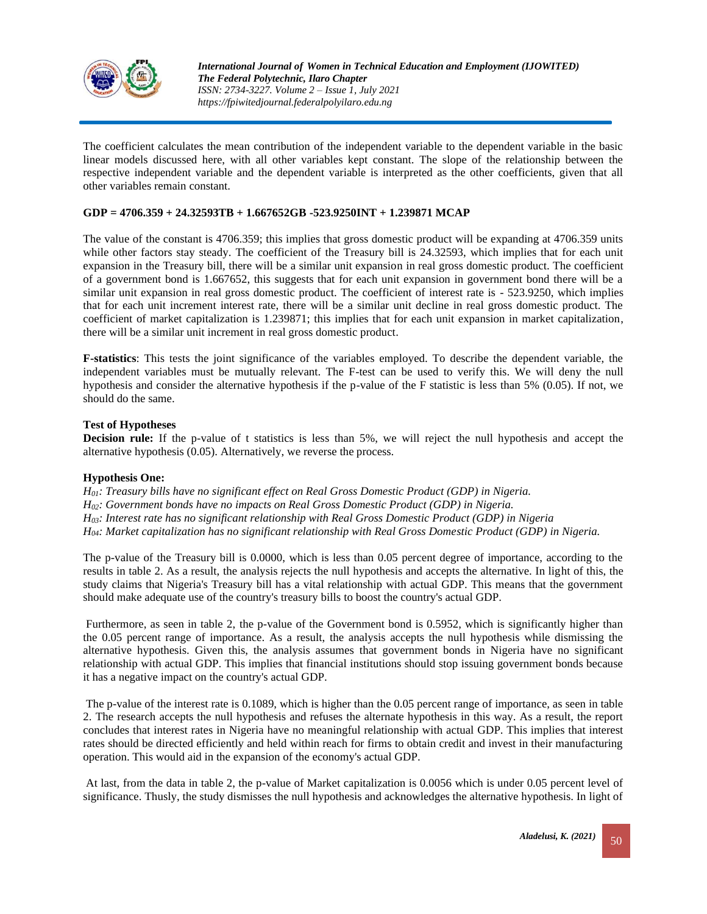

The coefficient calculates the mean contribution of the independent variable to the dependent variable in the basic linear models discussed here, with all other variables kept constant. The slope of the relationship between the respective independent variable and the dependent variable is interpreted as the other coefficients, given that all other variables remain constant.

#### **GDP = 4706.359 + 24.32593TB + 1.667652GB -523.9250INT + 1.239871 MCAP**

The value of the constant is 4706.359; this implies that gross domestic product will be expanding at 4706.359 units while other factors stay steady. The coefficient of the Treasury bill is 24.32593, which implies that for each unit expansion in the Treasury bill, there will be a similar unit expansion in real gross domestic product. The coefficient of a government bond is 1.667652, this suggests that for each unit expansion in government bond there will be a similar unit expansion in real gross domestic product. The coefficient of interest rate is - 523.9250, which implies that for each unit increment interest rate, there will be a similar unit decline in real gross domestic product. The coefficient of market capitalization is 1.239871; this implies that for each unit expansion in market capitalization, there will be a similar unit increment in real gross domestic product.

**F-statistics**: This tests the joint significance of the variables employed. To describe the dependent variable, the independent variables must be mutually relevant. The F-test can be used to verify this. We will deny the null hypothesis and consider the alternative hypothesis if the p-value of the F statistic is less than 5% (0.05). If not, we should do the same.

#### **Test of Hypotheses**

**Decision rule:** If the p-value of t statistics is less than 5%, we will reject the null hypothesis and accept the alternative hypothesis (0.05). Alternatively, we reverse the process.

#### **Hypothesis One:**

*H01: Treasury bills have no significant effect on Real Gross Domestic Product (GDP) in Nigeria. H02: Government bonds have no impacts on Real Gross Domestic Product (GDP) in Nigeria. H03: Interest rate has no significant relationship with Real Gross Domestic Product (GDP) in Nigeria H04: Market capitalization has no significant relationship with Real Gross Domestic Product (GDP) in Nigeria.*

The p-value of the Treasury bill is 0.0000, which is less than 0.05 percent degree of importance, according to the results in table 2. As a result, the analysis rejects the null hypothesis and accepts the alternative. In light of this, the study claims that Nigeria's Treasury bill has a vital relationship with actual GDP. This means that the government should make adequate use of the country's treasury bills to boost the country's actual GDP.

Furthermore, as seen in table 2, the p-value of the Government bond is 0.5952, which is significantly higher than the 0.05 percent range of importance. As a result, the analysis accepts the null hypothesis while dismissing the alternative hypothesis. Given this, the analysis assumes that government bonds in Nigeria have no significant relationship with actual GDP. This implies that financial institutions should stop issuing government bonds because it has a negative impact on the country's actual GDP.

The p-value of the interest rate is 0.1089, which is higher than the 0.05 percent range of importance, as seen in table 2. The research accepts the null hypothesis and refuses the alternate hypothesis in this way. As a result, the report concludes that interest rates in Nigeria have no meaningful relationship with actual GDP. This implies that interest rates should be directed efficiently and held within reach for firms to obtain credit and invest in their manufacturing operation. This would aid in the expansion of the economy's actual GDP.

At last, from the data in table 2, the p-value of Market capitalization is 0.0056 which is under 0.05 percent level of significance. Thusly, the study dismisses the null hypothesis and acknowledges the alternative hypothesis. In light of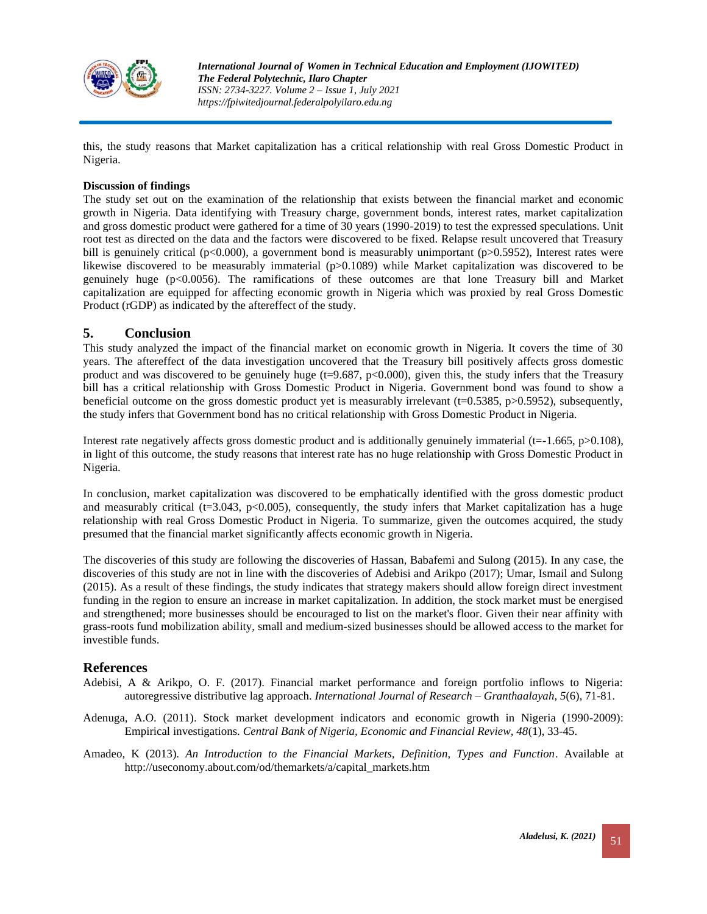

this, the study reasons that Market capitalization has a critical relationship with real Gross Domestic Product in Nigeria.

#### **Discussion of findings**

The study set out on the examination of the relationship that exists between the financial market and economic growth in Nigeria. Data identifying with Treasury charge, government bonds, interest rates, market capitalization and gross domestic product were gathered for a time of 30 years (1990-2019) to test the expressed speculations. Unit root test as directed on the data and the factors were discovered to be fixed. Relapse result uncovered that Treasury bill is genuinely critical (p<0.000), a government bond is measurably unimportant (p>0.5952), Interest rates were likewise discovered to be measurably immaterial (p>0.1089) while Market capitalization was discovered to be genuinely huge (p<0.0056). The ramifications of these outcomes are that lone Treasury bill and Market capitalization are equipped for affecting economic growth in Nigeria which was proxied by real Gross Domestic Product (rGDP) as indicated by the aftereffect of the study.

### **5. Conclusion**

This study analyzed the impact of the financial market on economic growth in Nigeria. It covers the time of 30 years. The aftereffect of the data investigation uncovered that the Treasury bill positively affects gross domestic product and was discovered to be genuinely huge  $(t=9.687, p<0.000)$ , given this, the study infers that the Treasury bill has a critical relationship with Gross Domestic Product in Nigeria. Government bond was found to show a beneficial outcome on the gross domestic product yet is measurably irrelevant (t=0.5385, p>0.5952), subsequently, the study infers that Government bond has no critical relationship with Gross Domestic Product in Nigeria.

Interest rate negatively affects gross domestic product and is additionally genuinely immaterial (t= $-1.665$ , p $>0.108$ ), in light of this outcome, the study reasons that interest rate has no huge relationship with Gross Domestic Product in Nigeria.

In conclusion, market capitalization was discovered to be emphatically identified with the gross domestic product and measurably critical ( $t=3.043$ ,  $p<0.005$ ), consequently, the study infers that Market capitalization has a huge relationship with real Gross Domestic Product in Nigeria. To summarize, given the outcomes acquired, the study presumed that the financial market significantly affects economic growth in Nigeria.

The discoveries of this study are following the discoveries of Hassan, Babafemi and Sulong (2015). In any case, the discoveries of this study are not in line with the discoveries of Adebisi and Arikpo (2017); Umar, Ismail and Sulong (2015). As a result of these findings, the study indicates that strategy makers should allow foreign direct investment funding in the region to ensure an increase in market capitalization. In addition, the stock market must be energised and strengthened; more businesses should be encouraged to list on the market's floor. Given their near affinity with grass-roots fund mobilization ability, small and medium-sized businesses should be allowed access to the market for investible funds.

#### **References**

- Adebisi, A & Arikpo, O. F. (2017). Financial market performance and foreign portfolio inflows to Nigeria: autoregressive distributive lag approach. *International Journal of Research – Granthaalayah, 5*(6), 71-81.
- Adenuga, A.O. (2011). Stock market development indicators and economic growth in Nigeria (1990-2009): Empirical investigations. *Central Bank of Nigeria, Economic and Financial Review, 48*(1), 33-45.
- Amadeo, K (2013). *An Introduction to the Financial Markets, Definition, Types and Function*. Available at http://useconomy.about.com/od/themarkets/a/capital\_markets.htm